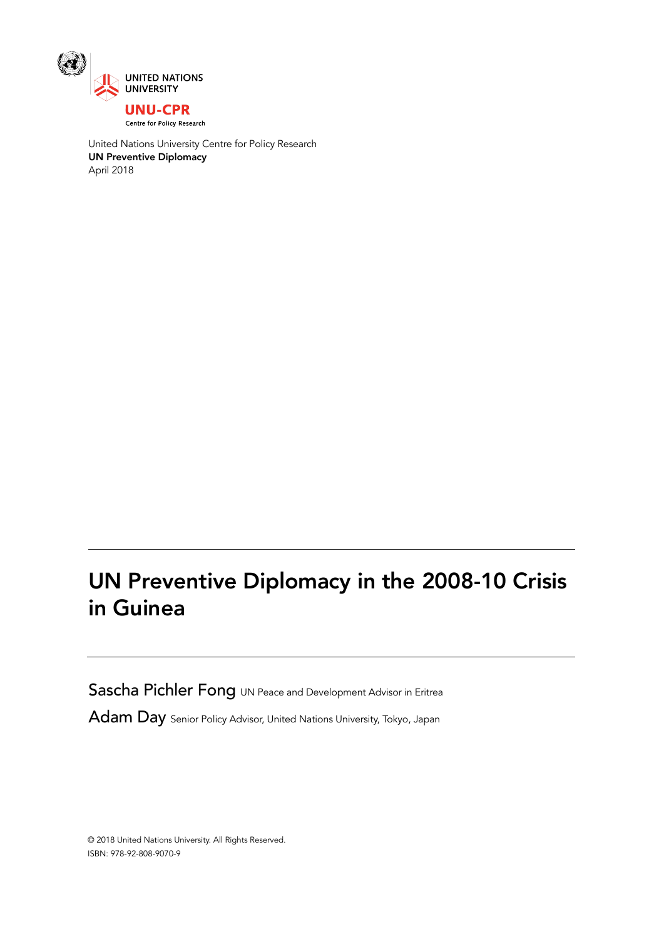

United Nations University Centre for Policy Research UN Preventive Diplomacy April 2018

# UN Preventive Diplomacy in the 2008-10 Crisis in Guinea

Sascha Pichler Fong UN Peace and Development Advisor in Eritrea

Adam Day Senior Policy Advisor, United Nations University, Tokyo, Japan

© 2018 United Nations University. All Rights Reserved. ISBN: 978-92-808-9070-9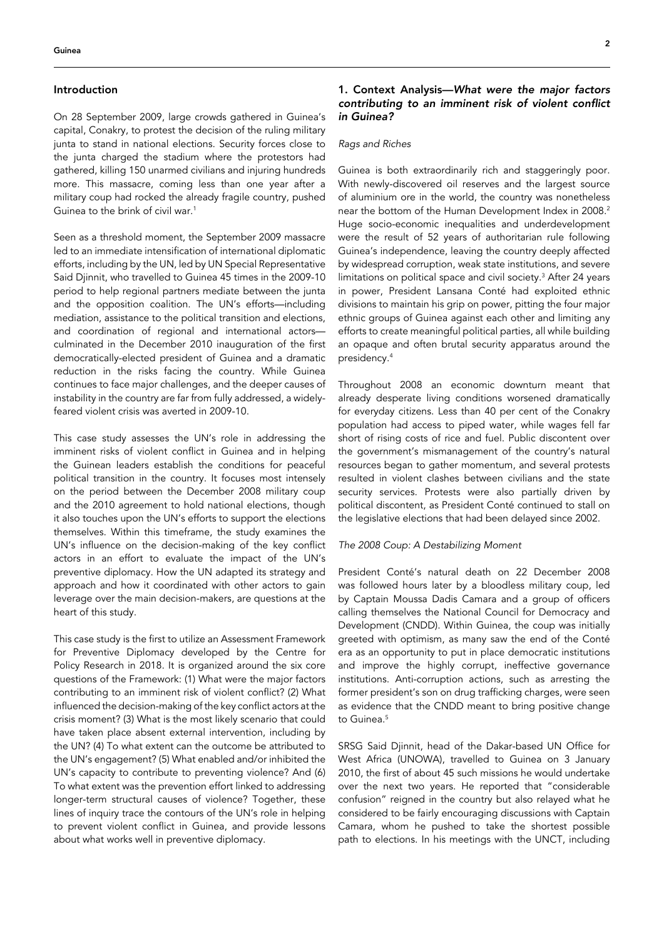## Introduction

On 28 September 2009, large crowds gathered in Guinea's capital, Conakry, to protest the decision of the ruling military junta to stand in national elections. Security forces close to the junta charged the stadium where the protestors had gathered, killing 150 unarmed civilians and injuring hundreds more. This massacre, coming less than one year after a military coup had rocked the already fragile country, pushed Guinea to the brink of civil war.1

Seen as a threshold moment, the September 2009 massacre led to an immediate intensification of international diplomatic efforts, including by the UN, led by UN Special Representative Said Djinnit, who travelled to Guinea 45 times in the 2009-10 period to help regional partners mediate between the junta and the opposition coalition. The UN's efforts—including mediation, assistance to the political transition and elections, and coordination of regional and international actors culminated in the December 2010 inauguration of the first democratically-elected president of Guinea and a dramatic reduction in the risks facing the country. While Guinea continues to face major challenges, and the deeper causes of instability in the country are far from fully addressed, a widelyfeared violent crisis was averted in 2009-10.

This case study assesses the UN's role in addressing the imminent risks of violent conflict in Guinea and in helping the Guinean leaders establish the conditions for peaceful political transition in the country. It focuses most intensely on the period between the December 2008 military coup and the 2010 agreement to hold national elections, though it also touches upon the UN's efforts to support the elections themselves. Within this timeframe, the study examines the UN's influence on the decision-making of the key conflict actors in an effort to evaluate the impact of the UN's preventive diplomacy. How the UN adapted its strategy and approach and how it coordinated with other actors to gain leverage over the main decision-makers, are questions at the heart of this study.

This case study is the first to utilize an Assessment Framework for Preventive Diplomacy developed by the Centre for Policy Research in 2018. It is organized around the six core questions of the Framework: (1) What were the major factors contributing to an imminent risk of violent conflict? (2) What influenced the decision-making of the key conflict actors at the crisis moment? (3) What is the most likely scenario that could have taken place absent external intervention, including by the UN? (4) To what extent can the outcome be attributed to the UN's engagement? (5) What enabled and/or inhibited the UN's capacity to contribute to preventing violence? And (6) To what extent was the prevention effort linked to addressing longer-term structural causes of violence? Together, these lines of inquiry trace the contours of the UN's role in helping to prevent violent conflict in Guinea, and provide lessons about what works well in preventive diplomacy.

# 1. Context Analysis—*What were the major factors*  contributing to an imminent risk of violent conflict *in Guinea?*

## *Rags and Riches*

Guinea is both extraordinarily rich and staggeringly poor. With newly-discovered oil reserves and the largest source of aluminium ore in the world, the country was nonetheless near the bottom of the Human Development Index in 2008.<sup>2</sup> Huge socio-economic inequalities and underdevelopment were the result of 52 years of authoritarian rule following Guinea's independence, leaving the country deeply affected by widespread corruption, weak state institutions, and severe limitations on political space and civil society.<sup>3</sup> After 24 years in power, President Lansana Conté had exploited ethnic divisions to maintain his grip on power, pitting the four major ethnic groups of Guinea against each other and limiting any efforts to create meaningful political parties, all while building an opaque and often brutal security apparatus around the presidency.4

Throughout 2008 an economic downturn meant that already desperate living conditions worsened dramatically for everyday citizens. Less than 40 per cent of the Conakry population had access to piped water, while wages fell far short of rising costs of rice and fuel. Public discontent over the government's mismanagement of the country's natural resources began to gather momentum, and several protests resulted in violent clashes between civilians and the state security services. Protests were also partially driven by political discontent, as President Conté continued to stall on the legislative elections that had been delayed since 2002.

# *The 2008 Coup: A Destabilizing Moment*

President Conté's natural death on 22 December 2008 was followed hours later by a bloodless military coup, led by Captain Moussa Dadis Camara and a group of officers calling themselves the National Council for Democracy and Development (CNDD). Within Guinea, the coup was initially greeted with optimism, as many saw the end of the Conté era as an opportunity to put in place democratic institutions and improve the highly corrupt, ineffective governance institutions. Anti-corruption actions, such as arresting the former president's son on drug trafficking charges, were seen as evidence that the CNDD meant to bring positive change to Guinea.<sup>5</sup>

SRSG Said Djinnit, head of the Dakar-based UN Office for West Africa (UNOWA), travelled to Guinea on 3 January 2010, the first of about 45 such missions he would undertake over the next two years. He reported that "considerable confusion" reigned in the country but also relayed what he considered to be fairly encouraging discussions with Captain Camara, whom he pushed to take the shortest possible path to elections. In his meetings with the UNCT, including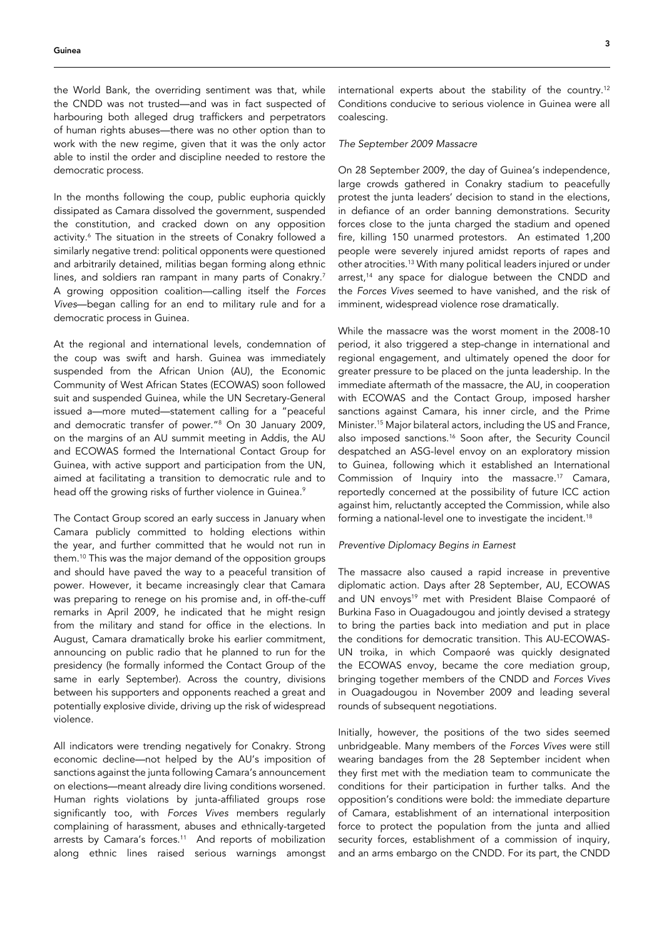the World Bank, the overriding sentiment was that, while the CNDD was not trusted—and was in fact suspected of harbouring both alleged drug traffickers and perpetrators of human rights abuses—there was no other option than to work with the new regime, given that it was the only actor able to instil the order and discipline needed to restore the democratic process.

In the months following the coup, public euphoria quickly dissipated as Camara dissolved the government, suspended the constitution, and cracked down on any opposition activity.<sup>6</sup> The situation in the streets of Conakry followed a similarly negative trend: political opponents were questioned and arbitrarily detained, militias began forming along ethnic lines, and soldiers ran rampant in many parts of Conakry.<sup>7</sup> A growing opposition coalition—calling itself the *Forces Vives*—began calling for an end to military rule and for a democratic process in Guinea.

At the regional and international levels, condemnation of the coup was swift and harsh. Guinea was immediately suspended from the African Union (AU), the Economic Community of West African States (ECOWAS) soon followed suit and suspended Guinea, while the UN Secretary-General issued a—more muted—statement calling for a "peaceful and democratic transfer of power."8 On 30 January 2009, on the margins of an AU summit meeting in Addis, the AU and ECOWAS formed the International Contact Group for Guinea, with active support and participation from the UN, aimed at facilitating a transition to democratic rule and to head off the growing risks of further violence in Guinea.<sup>9</sup>

The Contact Group scored an early success in January when Camara publicly committed to holding elections within the year, and further committed that he would not run in them.10 This was the major demand of the opposition groups and should have paved the way to a peaceful transition of power. However, it became increasingly clear that Camara was preparing to renege on his promise and, in off-the-cuff remarks in April 2009, he indicated that he might resign from the military and stand for office in the elections. In August, Camara dramatically broke his earlier commitment, announcing on public radio that he planned to run for the presidency (he formally informed the Contact Group of the same in early September). Across the country, divisions between his supporters and opponents reached a great and potentially explosive divide, driving up the risk of widespread violence.

All indicators were trending negatively for Conakry. Strong economic decline—not helped by the AU's imposition of sanctions against the junta following Camara's announcement on elections—meant already dire living conditions worsened. Human rights violations by junta-affiliated groups rose significantly too, with *Forces Vives* members regularly complaining of harassment, abuses and ethnically-targeted arrests by Camara's forces.<sup>11</sup> And reports of mobilization along ethnic lines raised serious warnings amongst international experts about the stability of the country.12 Conditions conducive to serious violence in Guinea were all coalescing.

#### *The September 2009 Massacre*

On 28 September 2009, the day of Guinea's independence, large crowds gathered in Conakry stadium to peacefully protest the junta leaders' decision to stand in the elections, in defiance of an order banning demonstrations. Security forces close to the junta charged the stadium and opened fire, killing 150 unarmed protestors. An estimated 1,200 people were severely injured amidst reports of rapes and other atrocities.<sup>13</sup> With many political leaders injured or under arrest,<sup>14</sup> any space for dialogue between the CNDD and the *Forces Vives* seemed to have vanished, and the risk of imminent, widespread violence rose dramatically.

While the massacre was the worst moment in the 2008-10 period, it also triggered a step-change in international and regional engagement, and ultimately opened the door for greater pressure to be placed on the junta leadership. In the immediate aftermath of the massacre, the AU, in cooperation with ECOWAS and the Contact Group, imposed harsher sanctions against Camara, his inner circle, and the Prime Minister.15 Major bilateral actors, including the US and France, also imposed sanctions.<sup>16</sup> Soon after, the Security Council despatched an ASG-level envoy on an exploratory mission to Guinea, following which it established an International Commission of Inquiry into the massacre.17 Camara, reportedly concerned at the possibility of future ICC action against him, reluctantly accepted the Commission, while also forming a national-level one to investigate the incident.<sup>18</sup>

## *Preventive Diplomacy Begins in Earnest*

The massacre also caused a rapid increase in preventive diplomatic action. Days after 28 September, AU, ECOWAS and UN envoys<sup>19</sup> met with President Blaise Compaoré of Burkina Faso in Ouagadougou and jointly devised a strategy to bring the parties back into mediation and put in place the conditions for democratic transition. This AU-ECOWAS-UN troika, in which Compaoré was quickly designated the ECOWAS envoy, became the core mediation group, bringing together members of the CNDD and *Forces Vives* in Ouagadougou in November 2009 and leading several rounds of subsequent negotiations.

Initially, however, the positions of the two sides seemed unbridgeable. Many members of the *Forces Vives* were still wearing bandages from the 28 September incident when they first met with the mediation team to communicate the conditions for their participation in further talks. And the opposition's conditions were bold: the immediate departure of Camara, establishment of an international interposition force to protect the population from the junta and allied security forces, establishment of a commission of inquiry, and an arms embargo on the CNDD. For its part, the CNDD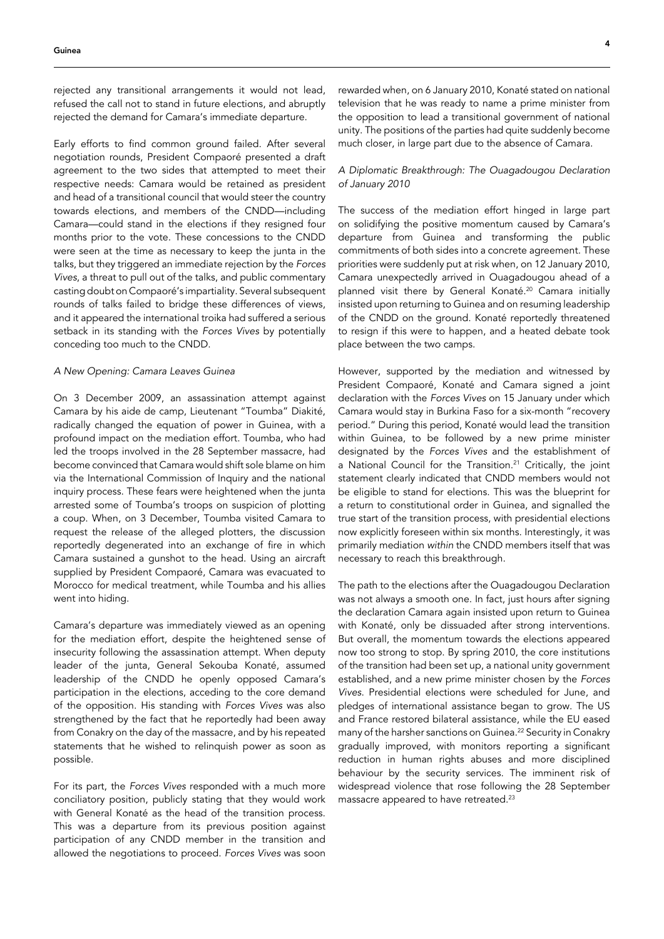rejected any transitional arrangements it would not lead, refused the call not to stand in future elections, and abruptly rejected the demand for Camara's immediate departure.

Early efforts to find common ground failed. After several negotiation rounds, President Compaoré presented a draft agreement to the two sides that attempted to meet their respective needs: Camara would be retained as president and head of a transitional council that would steer the country towards elections, and members of the CNDD—including Camara—could stand in the elections if they resigned four months prior to the vote. These concessions to the CNDD were seen at the time as necessary to keep the junta in the talks, but they triggered an immediate rejection by the *Forces Vives*, a threat to pull out of the talks, and public commentary casting doubt on Compaoré's impartiality. Several subsequent rounds of talks failed to bridge these differences of views, and it appeared the international troika had suffered a serious setback in its standing with the *Forces Vives* by potentially conceding too much to the CNDD.

#### *A New Opening: Camara Leaves Guinea*

On 3 December 2009, an assassination attempt against Camara by his aide de camp, Lieutenant "Toumba" Diakité, radically changed the equation of power in Guinea, with a profound impact on the mediation effort. Toumba, who had led the troops involved in the 28 September massacre, had become convinced that Camara would shift sole blame on him via the International Commission of Inquiry and the national inquiry process. These fears were heightened when the junta arrested some of Toumba's troops on suspicion of plotting a coup. When, on 3 December, Toumba visited Camara to request the release of the alleged plotters, the discussion reportedly degenerated into an exchange of fire in which Camara sustained a gunshot to the head. Using an aircraft supplied by President Compaoré, Camara was evacuated to Morocco for medical treatment, while Toumba and his allies went into hiding.

Camara's departure was immediately viewed as an opening for the mediation effort, despite the heightened sense of insecurity following the assassination attempt. When deputy leader of the junta, General Sekouba Konaté, assumed leadership of the CNDD he openly opposed Camara's participation in the elections, acceding to the core demand of the opposition. His standing with *Forces Vives* was also strengthened by the fact that he reportedly had been away from Conakry on the day of the massacre, and by his repeated statements that he wished to relinquish power as soon as possible.

For its part, the *Forces Vives* responded with a much more conciliatory position, publicly stating that they would work with General Konaté as the head of the transition process. This was a departure from its previous position against participation of any CNDD member in the transition and allowed the negotiations to proceed. *Forces Vives* was soon

rewarded when, on 6 January 2010, Konaté stated on national television that he was ready to name a prime minister from the opposition to lead a transitional government of national unity. The positions of the parties had quite suddenly become much closer, in large part due to the absence of Camara.

# *A Diplomatic Breakthrough: The Ouagadougou Declaration of January 2010*

The success of the mediation effort hinged in large part on solidifying the positive momentum caused by Camara's departure from Guinea and transforming the public commitments of both sides into a concrete agreement. These priorities were suddenly put at risk when, on 12 January 2010, Camara unexpectedly arrived in Ouagadougou ahead of a planned visit there by General Konaté.20 Camara initially insisted upon returning to Guinea and on resuming leadership of the CNDD on the ground. Konaté reportedly threatened to resign if this were to happen, and a heated debate took place between the two camps.

However, supported by the mediation and witnessed by President Compaoré, Konaté and Camara signed a joint declaration with the *Forces Vives* on 15 January under which Camara would stay in Burkina Faso for a six-month "recovery period." During this period, Konaté would lead the transition within Guinea, to be followed by a new prime minister designated by the *Forces Vives* and the establishment of a National Council for the Transition.<sup>21</sup> Critically, the joint statement clearly indicated that CNDD members would not be eligible to stand for elections. This was the blueprint for a return to constitutional order in Guinea, and signalled the true start of the transition process, with presidential elections now explicitly foreseen within six months. Interestingly, it was primarily mediation *within* the CNDD members itself that was necessary to reach this breakthrough.

The path to the elections after the Ouagadougou Declaration was not always a smooth one. In fact, just hours after signing the declaration Camara again insisted upon return to Guinea with Konaté, only be dissuaded after strong interventions. But overall, the momentum towards the elections appeared now too strong to stop. By spring 2010, the core institutions of the transition had been set up, a national unity government established, and a new prime minister chosen by the *Forces Vives*. Presidential elections were scheduled for June, and pledges of international assistance began to grow. The US and France restored bilateral assistance, while the EU eased many of the harsher sanctions on Guinea.22 Security in Conakry gradually improved, with monitors reporting a significant reduction in human rights abuses and more disciplined behaviour by the security services. The imminent risk of widespread violence that rose following the 28 September massacre appeared to have retreated.23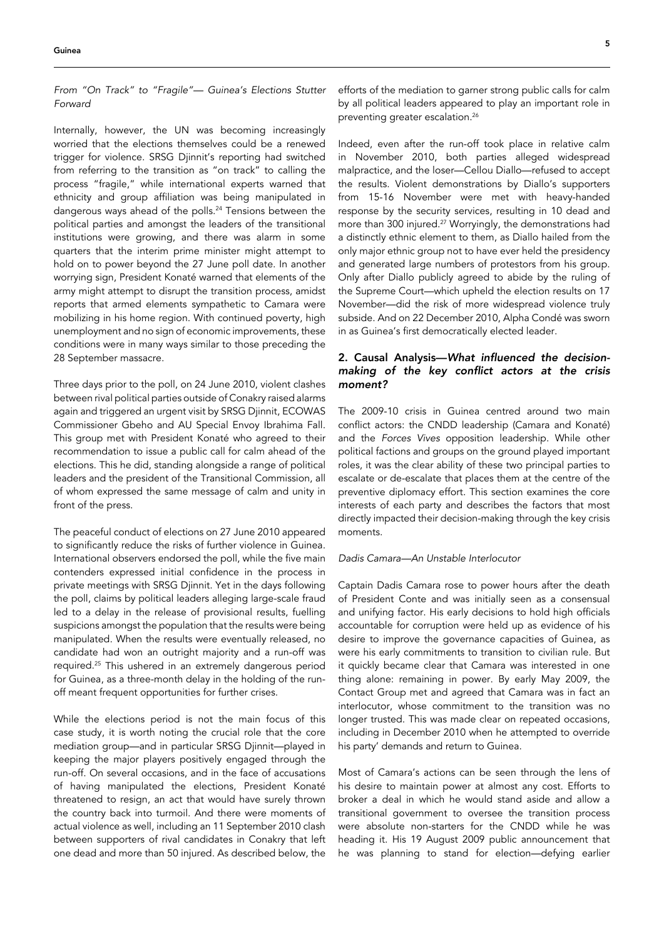*From "On Track" to "Fragile"— Guinea's Elections Stutter Forward*

Internally, however, the UN was becoming increasingly worried that the elections themselves could be a renewed trigger for violence. SRSG Djinnit's reporting had switched from referring to the transition as "on track" to calling the process "fragile," while international experts warned that ethnicity and group affiliation was being manipulated in dangerous ways ahead of the polls.<sup>24</sup> Tensions between the political parties and amongst the leaders of the transitional institutions were growing, and there was alarm in some quarters that the interim prime minister might attempt to hold on to power beyond the 27 June poll date. In another worrying sign, President Konaté warned that elements of the army might attempt to disrupt the transition process, amidst reports that armed elements sympathetic to Camara were mobilizing in his home region. With continued poverty, high unemployment and no sign of economic improvements, these conditions were in many ways similar to those preceding the 28 September massacre.

Three days prior to the poll, on 24 June 2010, violent clashes between rival political parties outside of Conakry raised alarms again and triggered an urgent visit by SRSG Djinnit, ECOWAS Commissioner Gbeho and AU Special Envoy Ibrahima Fall. This group met with President Konaté who agreed to their recommendation to issue a public call for calm ahead of the elections. This he did, standing alongside a range of political leaders and the president of the Transitional Commission, all of whom expressed the same message of calm and unity in front of the press.

The peaceful conduct of elections on 27 June 2010 appeared to significantly reduce the risks of further violence in Guinea. International observers endorsed the poll, while the five main contenders expressed initial confidence in the process in private meetings with SRSG Djinnit. Yet in the days following the poll, claims by political leaders alleging large-scale fraud led to a delay in the release of provisional results, fuelling suspicions amongst the population that the results were being manipulated. When the results were eventually released, no candidate had won an outright majority and a run-off was required.25 This ushered in an extremely dangerous period for Guinea, as a three-month delay in the holding of the runoff meant frequent opportunities for further crises.

While the elections period is not the main focus of this case study, it is worth noting the crucial role that the core mediation group—and in particular SRSG Djinnit—played in keeping the major players positively engaged through the run-off. On several occasions, and in the face of accusations of having manipulated the elections, President Konaté threatened to resign, an act that would have surely thrown the country back into turmoil. And there were moments of actual violence as well, including an 11 September 2010 clash between supporters of rival candidates in Conakry that left one dead and more than 50 injured. As described below, the

efforts of the mediation to garner strong public calls for calm by all political leaders appeared to play an important role in preventing greater escalation.<sup>26</sup>

Indeed, even after the run-off took place in relative calm in November 2010, both parties alleged widespread malpractice, and the loser—Cellou Diallo—refused to accept the results. Violent demonstrations by Diallo's supporters from 15-16 November were met with heavy-handed response by the security services, resulting in 10 dead and more than 300 injured.27 Worryingly, the demonstrations had a distinctly ethnic element to them, as Diallo hailed from the only major ethnic group not to have ever held the presidency and generated large numbers of protestors from his group. Only after Diallo publicly agreed to abide by the ruling of the Supreme Court—which upheld the election results on 17 November—did the risk of more widespread violence truly subside. And on 22 December 2010, Alpha Condé was sworn in as Guinea's first democratically elected leader.

# 2. Causal Analysis—What influenced the decisionmaking of the key conflict actors at the crisis *moment?*

The 2009-10 crisis in Guinea centred around two main conflict actors: the CNDD leadership (Camara and Konaté) and the *Forces Vives* opposition leadership. While other political factions and groups on the ground played important roles, it was the clear ability of these two principal parties to escalate or de-escalate that places them at the centre of the preventive diplomacy effort. This section examines the core interests of each party and describes the factors that most directly impacted their decision-making through the key crisis moments.

# *Dadis Camara—An Unstable Interlocutor*

Captain Dadis Camara rose to power hours after the death of President Conte and was initially seen as a consensual and unifying factor. His early decisions to hold high officials accountable for corruption were held up as evidence of his desire to improve the governance capacities of Guinea, as were his early commitments to transition to civilian rule. But it quickly became clear that Camara was interested in one thing alone: remaining in power. By early May 2009, the Contact Group met and agreed that Camara was in fact an interlocutor, whose commitment to the transition was no longer trusted. This was made clear on repeated occasions, including in December 2010 when he attempted to override his party' demands and return to Guinea.

Most of Camara's actions can be seen through the lens of his desire to maintain power at almost any cost. Efforts to broker a deal in which he would stand aside and allow a transitional government to oversee the transition process were absolute non-starters for the CNDD while he was heading it. His 19 August 2009 public announcement that he was planning to stand for election—defying earlier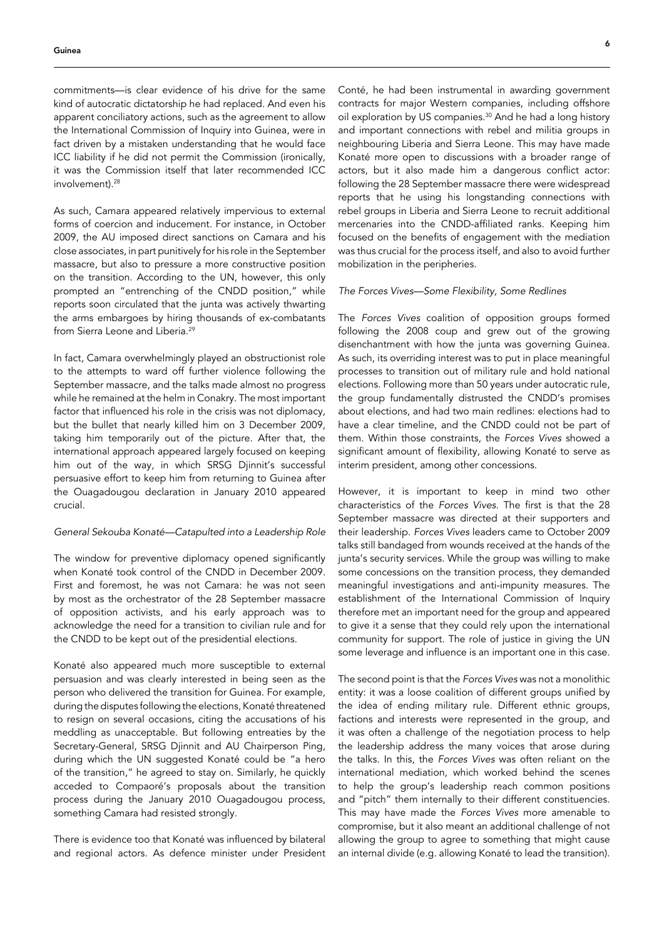commitments—is clear evidence of his drive for the same kind of autocratic dictatorship he had replaced. And even his apparent conciliatory actions, such as the agreement to allow the International Commission of Inquiry into Guinea, were in fact driven by a mistaken understanding that he would face ICC liability if he did not permit the Commission (ironically, it was the Commission itself that later recommended ICC involvement).<sup>28</sup>

As such, Camara appeared relatively impervious to external forms of coercion and inducement. For instance, in October 2009, the AU imposed direct sanctions on Camara and his close associates, in part punitively for his role in the September massacre, but also to pressure a more constructive position on the transition. According to the UN, however, this only prompted an "entrenching of the CNDD position," while reports soon circulated that the junta was actively thwarting the arms embargoes by hiring thousands of ex-combatants from Sierra Leone and Liberia.<sup>29</sup>

In fact, Camara overwhelmingly played an obstructionist role to the attempts to ward off further violence following the September massacre, and the talks made almost no progress while he remained at the helm in Conakry. The most important factor that influenced his role in the crisis was not diplomacy, but the bullet that nearly killed him on 3 December 2009, taking him temporarily out of the picture. After that, the international approach appeared largely focused on keeping him out of the way, in which SRSG Djinnit's successful persuasive effort to keep him from returning to Guinea after the Ouagadougou declaration in January 2010 appeared crucial.

# *General Sekouba Konaté—Catapulted into a Leadership Role*

The window for preventive diplomacy opened significantly when Konaté took control of the CNDD in December 2009. First and foremost, he was not Camara: he was not seen by most as the orchestrator of the 28 September massacre of opposition activists, and his early approach was to acknowledge the need for a transition to civilian rule and for the CNDD to be kept out of the presidential elections.

Konaté also appeared much more susceptible to external persuasion and was clearly interested in being seen as the person who delivered the transition for Guinea. For example, during the disputes following the elections, Konaté threatened to resign on several occasions, citing the accusations of his meddling as unacceptable. But following entreaties by the Secretary-General, SRSG Djinnit and AU Chairperson Ping, during which the UN suggested Konaté could be "a hero of the transition," he agreed to stay on. Similarly, he quickly acceded to Compaoré's proposals about the transition process during the January 2010 Ouagadougou process, something Camara had resisted strongly.

There is evidence too that Konaté was influenced by bilateral and regional actors. As defence minister under President Conté, he had been instrumental in awarding government contracts for major Western companies, including offshore oil exploration by US companies.<sup>30</sup> And he had a long history and important connections with rebel and militia groups in neighbouring Liberia and Sierra Leone. This may have made Konaté more open to discussions with a broader range of actors, but it also made him a dangerous conflict actor: following the 28 September massacre there were widespread reports that he using his longstanding connections with rebel groups in Liberia and Sierra Leone to recruit additional mercenaries into the CNDD-affiliated ranks. Keeping him focused on the benefits of engagement with the mediation was thus crucial for the process itself, and also to avoid further mobilization in the peripheries.

## *The Forces Vives—Some Flexibility, Some Redlines*

The *Forces Vives* coalition of opposition groups formed following the 2008 coup and grew out of the growing disenchantment with how the junta was governing Guinea. As such, its overriding interest was to put in place meaningful processes to transition out of military rule and hold national elections. Following more than 50 years under autocratic rule, the group fundamentally distrusted the CNDD's promises about elections, and had two main redlines: elections had to have a clear timeline, and the CNDD could not be part of them. Within those constraints, the *Forces Vives* showed a significant amount of flexibility, allowing Konaté to serve as interim president, among other concessions.

However, it is important to keep in mind two other characteristics of the *Forces Vives*. The first is that the 28 September massacre was directed at their supporters and their leadership. *Forces Vives* leaders came to October 2009 talks still bandaged from wounds received at the hands of the junta's security services. While the group was willing to make some concessions on the transition process, they demanded meaningful investigations and anti-impunity measures. The establishment of the International Commission of Inquiry therefore met an important need for the group and appeared to give it a sense that they could rely upon the international community for support. The role of justice in giving the UN some leverage and influence is an important one in this case.

The second point is that the *Forces Vives* was not a monolithic entity: it was a loose coalition of different groups unified by the idea of ending military rule. Different ethnic groups, factions and interests were represented in the group, and it was often a challenge of the negotiation process to help the leadership address the many voices that arose during the talks. In this, the *Forces Vives* was often reliant on the international mediation, which worked behind the scenes to help the group's leadership reach common positions and "pitch" them internally to their different constituencies. This may have made the *Forces Vives* more amenable to compromise, but it also meant an additional challenge of not allowing the group to agree to something that might cause an internal divide (e.g. allowing Konaté to lead the transition).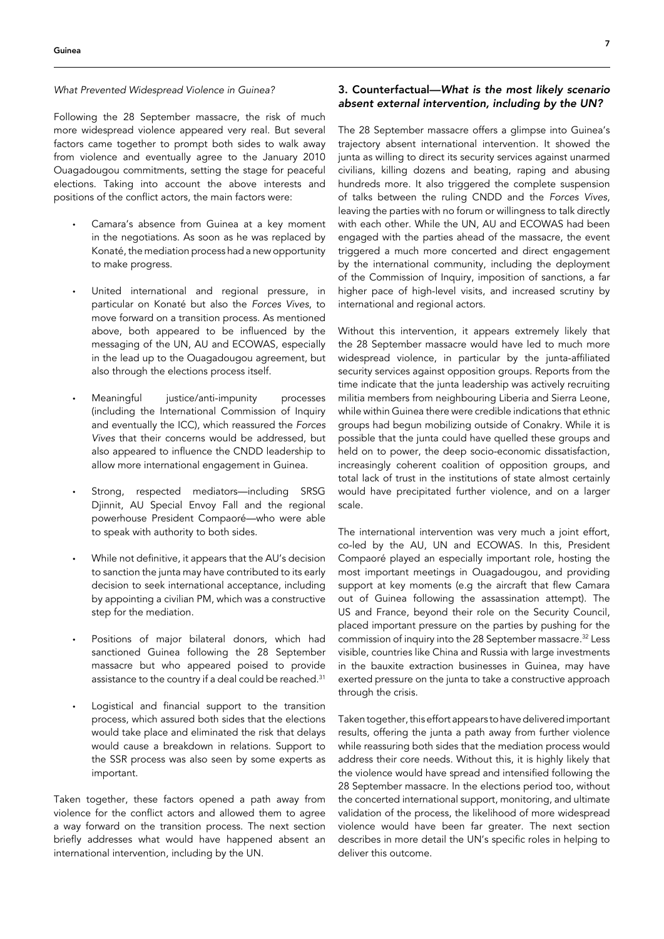# *What Prevented Widespread Violence in Guinea?*

Following the 28 September massacre, the risk of much more widespread violence appeared very real. But several factors came together to prompt both sides to walk away from violence and eventually agree to the January 2010 Ouagadougou commitments, setting the stage for peaceful elections. Taking into account the above interests and positions of the conflict actors, the main factors were:

- Camara's absence from Guinea at a key moment in the negotiations. As soon as he was replaced by Konaté, the mediation process had a new opportunity to make progress.
- United international and regional pressure, in particular on Konaté but also the *Forces Vives*, to move forward on a transition process. As mentioned above, both appeared to be influenced by the messaging of the UN, AU and ECOWAS, especially in the lead up to the Ouagadougou agreement, but also through the elections process itself.
- Meaningful justice/anti-impunity processes (including the International Commission of Inquiry and eventually the ICC), which reassured the *Forces Vives* that their concerns would be addressed, but also appeared to influence the CNDD leadership to allow more international engagement in Guinea.
- Strong, respected mediators—including SRSG Djinnit, AU Special Envoy Fall and the regional powerhouse President Compaoré—who were able to speak with authority to both sides.
- While not definitive, it appears that the AU's decision to sanction the junta may have contributed to its early decision to seek international acceptance, including by appointing a civilian PM, which was a constructive step for the mediation.
- Positions of major bilateral donors, which had sanctioned Guinea following the 28 September massacre but who appeared poised to provide assistance to the country if a deal could be reached.<sup>31</sup>
- Logistical and financial support to the transition process, which assured both sides that the elections would take place and eliminated the risk that delays would cause a breakdown in relations. Support to the SSR process was also seen by some experts as important.

Taken together, these factors opened a path away from violence for the conflict actors and allowed them to agree a way forward on the transition process. The next section briefly addresses what would have happened absent an international intervention, including by the UN.

# 3. Counterfactual—*What is the most likely scenario*  absent external intervention, including by the UN?

The 28 September massacre offers a glimpse into Guinea's trajectory absent international intervention. It showed the junta as willing to direct its security services against unarmed civilians, killing dozens and beating, raping and abusing hundreds more. It also triggered the complete suspension of talks between the ruling CNDD and the *Forces Vives*, leaving the parties with no forum or willingness to talk directly with each other. While the UN, AU and ECOWAS had been engaged with the parties ahead of the massacre, the event triggered a much more concerted and direct engagement by the international community, including the deployment of the Commission of Inquiry, imposition of sanctions, a far higher pace of high-level visits, and increased scrutiny by international and regional actors.

Without this intervention, it appears extremely likely that the 28 September massacre would have led to much more widespread violence, in particular by the junta-affiliated security services against opposition groups. Reports from the time indicate that the junta leadership was actively recruiting militia members from neighbouring Liberia and Sierra Leone, while within Guinea there were credible indications that ethnic groups had begun mobilizing outside of Conakry. While it is possible that the junta could have quelled these groups and held on to power, the deep socio-economic dissatisfaction, increasingly coherent coalition of opposition groups, and total lack of trust in the institutions of state almost certainly would have precipitated further violence, and on a larger scale.

The international intervention was very much a joint effort, co-led by the AU, UN and ECOWAS. In this, President Compaoré played an especially important role, hosting the most important meetings in Ouagadougou, and providing support at key moments (e.g the aircraft that flew Camara out of Guinea following the assassination attempt). The US and France, beyond their role on the Security Council, placed important pressure on the parties by pushing for the commission of inquiry into the 28 September massacre.<sup>32</sup> Less visible, countries like China and Russia with large investments in the bauxite extraction businesses in Guinea, may have exerted pressure on the junta to take a constructive approach through the crisis.

Taken together, this effort appears to have delivered important results, offering the junta a path away from further violence while reassuring both sides that the mediation process would address their core needs. Without this, it is highly likely that the violence would have spread and intensified following the 28 September massacre. In the elections period too, without the concerted international support, monitoring, and ultimate validation of the process, the likelihood of more widespread violence would have been far greater. The next section describes in more detail the UN's specific roles in helping to deliver this outcome.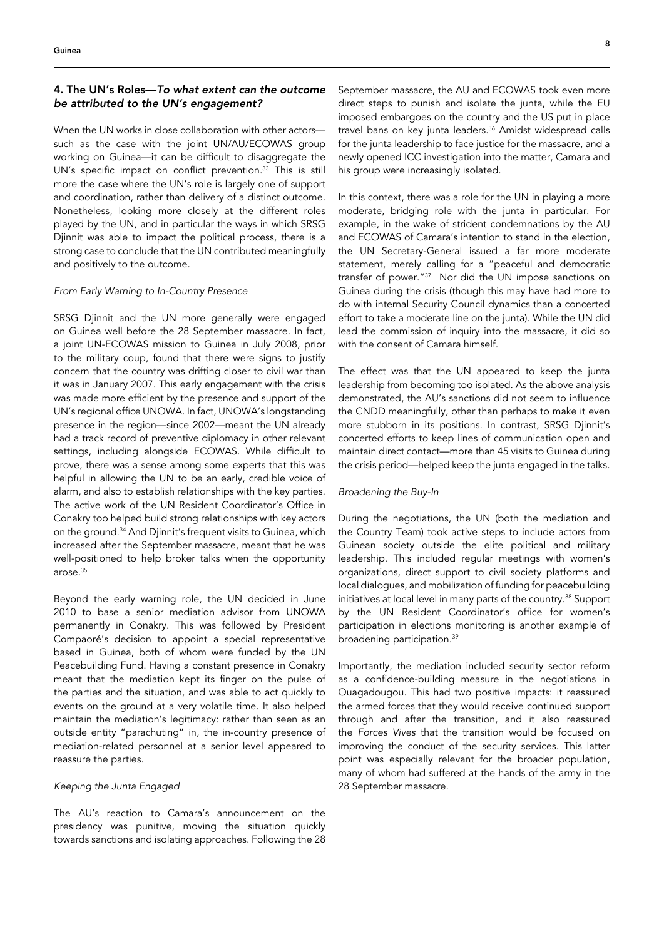# 4. The UN's Roles—*To what extent can the outcome*  be attributed to the UN's engagement?

When the UN works in close collaboration with other actors such as the case with the joint UN/AU/ECOWAS group working on Guinea—it can be difficult to disaggregate the UN's specific impact on conflict prevention.<sup>33</sup> This is still more the case where the UN's role is largely one of support and coordination, rather than delivery of a distinct outcome. Nonetheless, looking more closely at the different roles played by the UN, and in particular the ways in which SRSG Djinnit was able to impact the political process, there is a strong case to conclude that the UN contributed meaningfully and positively to the outcome.

# *From Early Warning to In-Country Presence*

SRSG Djinnit and the UN more generally were engaged on Guinea well before the 28 September massacre. In fact, a joint UN-ECOWAS mission to Guinea in July 2008, prior to the military coup, found that there were signs to justify concern that the country was drifting closer to civil war than it was in January 2007. This early engagement with the crisis was made more efficient by the presence and support of the UN's regional office UNOWA. In fact, UNOWA's longstanding presence in the region—since 2002—meant the UN already had a track record of preventive diplomacy in other relevant settings, including alongside ECOWAS. While difficult to prove, there was a sense among some experts that this was helpful in allowing the UN to be an early, credible voice of alarm, and also to establish relationships with the key parties. The active work of the UN Resident Coordinator's Office in Conakry too helped build strong relationships with key actors on the ground.<sup>34</sup> And Djinnit's frequent visits to Guinea, which increased after the September massacre, meant that he was well-positioned to help broker talks when the opportunity arose.<sup>35</sup>

Beyond the early warning role, the UN decided in June 2010 to base a senior mediation advisor from UNOWA permanently in Conakry. This was followed by President Compaoré's decision to appoint a special representative based in Guinea, both of whom were funded by the UN Peacebuilding Fund. Having a constant presence in Conakry meant that the mediation kept its finger on the pulse of the parties and the situation, and was able to act quickly to events on the ground at a very volatile time. It also helped maintain the mediation's legitimacy: rather than seen as an outside entity "parachuting" in, the in-country presence of mediation-related personnel at a senior level appeared to reassure the parties.

## *Keeping the Junta Engaged*

The AU's reaction to Camara's announcement on the presidency was punitive, moving the situation quickly towards sanctions and isolating approaches. Following the 28

September massacre, the AU and ECOWAS took even more direct steps to punish and isolate the junta, while the EU imposed embargoes on the country and the US put in place travel bans on key junta leaders.<sup>36</sup> Amidst widespread calls for the junta leadership to face justice for the massacre, and a newly opened ICC investigation into the matter, Camara and his group were increasingly isolated.

In this context, there was a role for the UN in playing a more moderate, bridging role with the junta in particular. For example, in the wake of strident condemnations by the AU and ECOWAS of Camara's intention to stand in the election, the UN Secretary-General issued a far more moderate statement, merely calling for a "peaceful and democratic transfer of power."<sup>37</sup> Nor did the UN impose sanctions on Guinea during the crisis (though this may have had more to do with internal Security Council dynamics than a concerted effort to take a moderate line on the junta). While the UN did lead the commission of inquiry into the massacre, it did so with the consent of Camara himself.

The effect was that the UN appeared to keep the junta leadership from becoming too isolated. As the above analysis demonstrated, the AU's sanctions did not seem to influence the CNDD meaningfully, other than perhaps to make it even more stubborn in its positions. In contrast, SRSG Djinnit's concerted efforts to keep lines of communication open and maintain direct contact—more than 45 visits to Guinea during the crisis period—helped keep the junta engaged in the talks.

#### *Broadening the Buy-In*

During the negotiations, the UN (both the mediation and the Country Team) took active steps to include actors from Guinean society outside the elite political and military leadership. This included regular meetings with women's organizations, direct support to civil society platforms and local dialogues, and mobilization of funding for peacebuilding initiatives at local level in many parts of the country.<sup>38</sup> Support by the UN Resident Coordinator's office for women's participation in elections monitoring is another example of broadening participation.<sup>39</sup>

Importantly, the mediation included security sector reform as a confidence-building measure in the negotiations in Ouagadougou. This had two positive impacts: it reassured the armed forces that they would receive continued support through and after the transition, and it also reassured the *Forces Vives* that the transition would be focused on improving the conduct of the security services. This latter point was especially relevant for the broader population, many of whom had suffered at the hands of the army in the 28 September massacre.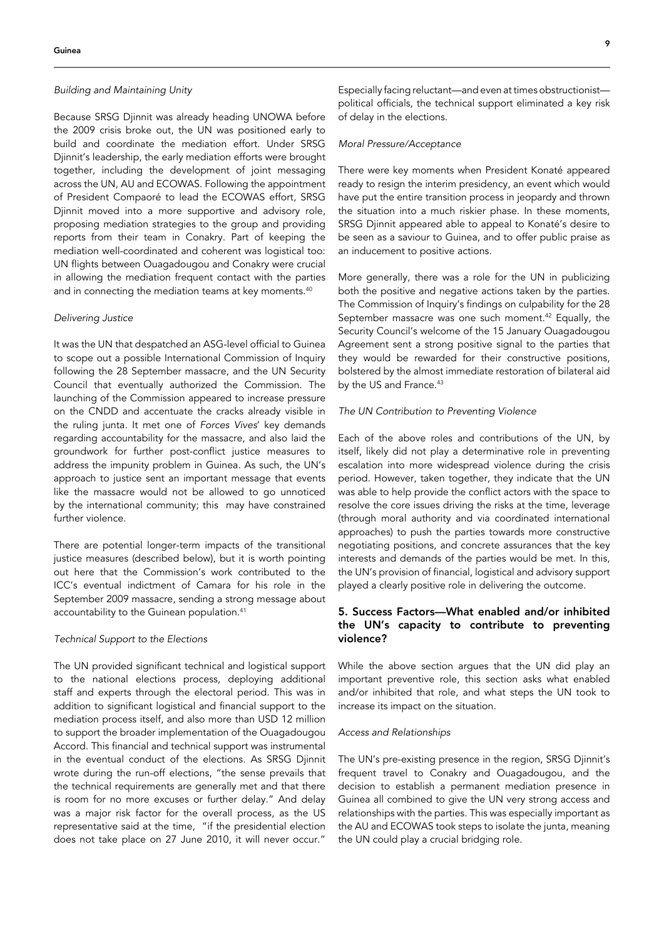# *Building and Maintaining Unity*

Because SRSG Djinnit was already heading UNOWA before the 2009 crisis broke out, the UN was positioned early to build and coordinate the mediation effort. Under SRSG Djinnit's leadership, the early mediation efforts were brought together, including the development of joint messaging across the UN, AU and ECOWAS. Following the appointment of President Compaoré to lead the ECOWAS effort, SRSG Djinnit moved into a more supportive and advisory role, proposing mediation strategies to the group and providing reports from their team in Conakry. Part of keeping the mediation well-coordinated and coherent was logistical too: UN flights between Ouagadougou and Conakry were crucial in allowing the mediation frequent contact with the parties and in connecting the mediation teams at key moments.<sup>40</sup>

#### *Delivering Justice*

It was the UN that despatched an ASG-level official to Guinea to scope out a possible International Commission of Inquiry following the 28 September massacre, and the UN Security Council that eventually authorized the Commission. The launching of the Commission appeared to increase pressure on the CNDD and accentuate the cracks already visible in the ruling junta. It met one of *Forces Vives*' key demands regarding accountability for the massacre, and also laid the groundwork for further post-conflict justice measures to address the impunity problem in Guinea. As such, the UN's approach to justice sent an important message that events like the massacre would not be allowed to go unnoticed by the international community; this may have constrained further violence.

There are potential longer-term impacts of the transitional justice measures (described below), but it is worth pointing out here that the Commission's work contributed to the ICC's eventual indictment of Camara for his role in the September 2009 massacre, sending a strong message about accountability to the Guinean population.<sup>41</sup>

## *Technical Support to the Elections*

The UN provided significant technical and logistical support to the national elections process, deploying additional staff and experts through the electoral period. This was in addition to significant logistical and financial support to the mediation process itself, and also more than USD 12 million to support the broader implementation of the Ouagadougou Accord. This financial and technical support was instrumental in the eventual conduct of the elections. As SRSG Djinnit wrote during the run-off elections, "the sense prevails that the technical requirements are generally met and that there is room for no more excuses or further delay." And delay was a major risk factor for the overall process, as the US representative said at the time, "if the presidential election does not take place on 27 June 2010, it will never occur."

Especially facing reluctant—and even at times obstructionist political officials, the technical support eliminated a key risk of delay in the elections.

#### *Moral Pressure/Acceptance*

There were key moments when President Konaté appeared ready to resign the interim presidency, an event which would have put the entire transition process in jeopardy and thrown the situation into a much riskier phase. In these moments, SRSG Djinnit appeared able to appeal to Konaté's desire to be seen as a saviour to Guinea, and to offer public praise as an inducement to positive actions.

More generally, there was a role for the UN in publicizing both the positive and negative actions taken by the parties. The Commission of Inquiry's findings on culpability for the 28 September massacre was one such moment.<sup>42</sup> Equally, the Security Council's welcome of the 15 January Ouagadougou Agreement sent a strong positive signal to the parties that they would be rewarded for their constructive positions, bolstered by the almost immediate restoration of bilateral aid by the US and France.<sup>43</sup>

## *The UN Contribution to Preventing Violence*

Each of the above roles and contributions of the UN, by itself, likely did not play a determinative role in preventing escalation into more widespread violence during the crisis period. However, taken together, they indicate that the UN was able to help provide the conflict actors with the space to resolve the core issues driving the risks at the time, leverage (through moral authority and via coordinated international approaches) to push the parties towards more constructive negotiating positions, and concrete assurances that the key interests and demands of the parties would be met. In this, the UN's provision of financial, logistical and advisory support played a clearly positive role in delivering the outcome.

# 5. Success Factors—What enabled and/or inhibited the UN's capacity to contribute to preventing violence?

While the above section argues that the UN did play an important preventive role, this section asks what enabled and/or inhibited that role, and what steps the UN took to increase its impact on the situation.

#### *Access and Relationships*

The UN's pre-existing presence in the region, SRSG Djinnit's frequent travel to Conakry and Ouagadougou, and the decision to establish a permanent mediation presence in Guinea all combined to give the UN very strong access and relationships with the parties. This was especially important as the AU and ECOWAS took steps to isolate the junta, meaning the UN could play a crucial bridging role.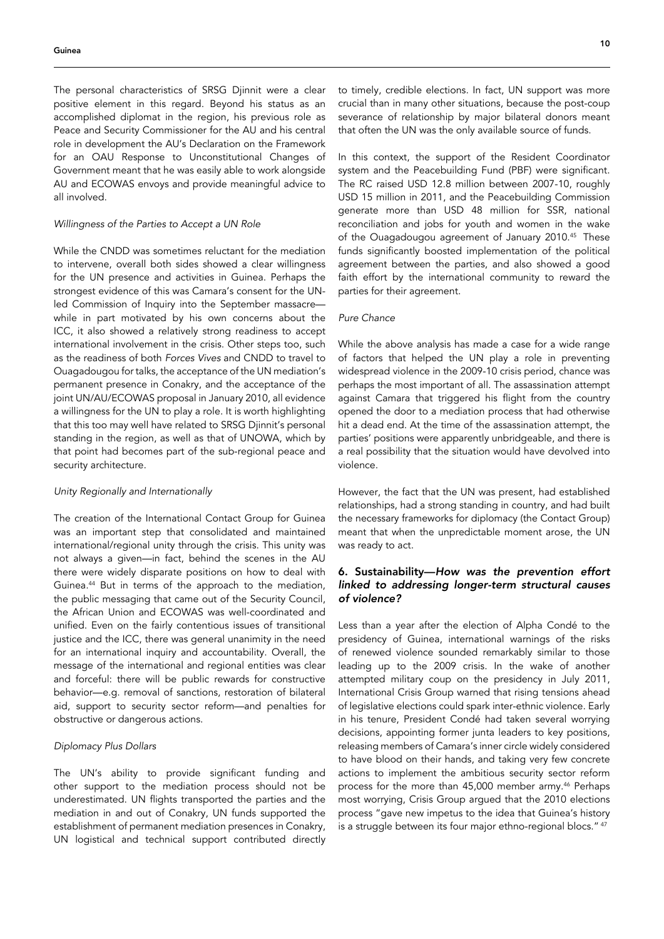The personal characteristics of SRSG Djinnit were a clear positive element in this regard. Beyond his status as an accomplished diplomat in the region, his previous role as Peace and Security Commissioner for the AU and his central role in development the AU's Declaration on the Framework for an OAU Response to Unconstitutional Changes of Government meant that he was easily able to work alongside AU and ECOWAS envoys and provide meaningful advice to all involved.

# *Willingness of the Parties to Accept a UN Role*

While the CNDD was sometimes reluctant for the mediation to intervene, overall both sides showed a clear willingness for the UN presence and activities in Guinea. Perhaps the strongest evidence of this was Camara's consent for the UNled Commission of Inquiry into the September massacre while in part motivated by his own concerns about the ICC, it also showed a relatively strong readiness to accept international involvement in the crisis. Other steps too, such as the readiness of both *Forces Vives* and CNDD to travel to Ouagadougou for talks, the acceptance of the UN mediation's permanent presence in Conakry, and the acceptance of the joint UN/AU/ECOWAS proposal in January 2010, all evidence a willingness for the UN to play a role. It is worth highlighting that this too may well have related to SRSG Djinnit's personal standing in the region, as well as that of UNOWA, which by that point had becomes part of the sub-regional peace and security architecture.

#### *Unity Regionally and Internationally*

The creation of the International Contact Group for Guinea was an important step that consolidated and maintained international/regional unity through the crisis. This unity was not always a given—in fact, behind the scenes in the AU there were widely disparate positions on how to deal with Guinea.44 But in terms of the approach to the mediation, the public messaging that came out of the Security Council, the African Union and ECOWAS was well-coordinated and unified. Even on the fairly contentious issues of transitional justice and the ICC, there was general unanimity in the need for an international inquiry and accountability. Overall, the message of the international and regional entities was clear and forceful: there will be public rewards for constructive behavior—e.g. removal of sanctions, restoration of bilateral aid, support to security sector reform—and penalties for obstructive or dangerous actions.

#### *Diplomacy Plus Dollars*

The UN's ability to provide significant funding and other support to the mediation process should not be underestimated. UN flights transported the parties and the mediation in and out of Conakry, UN funds supported the establishment of permanent mediation presences in Conakry, UN logistical and technical support contributed directly to timely, credible elections. In fact, UN support was more crucial than in many other situations, because the post-coup severance of relationship by major bilateral donors meant that often the UN was the only available source of funds.

In this context, the support of the Resident Coordinator system and the Peacebuilding Fund (PBF) were significant. The RC raised USD 12.8 million between 2007-10, roughly USD 15 million in 2011, and the Peacebuilding Commission generate more than USD 48 million for SSR, national reconciliation and jobs for youth and women in the wake of the Ouagadougou agreement of January 2010.45 These funds significantly boosted implementation of the political agreement between the parties, and also showed a good faith effort by the international community to reward the parties for their agreement.

## *Pure Chance*

While the above analysis has made a case for a wide range of factors that helped the UN play a role in preventing widespread violence in the 2009-10 crisis period, chance was perhaps the most important of all. The assassination attempt against Camara that triggered his flight from the country opened the door to a mediation process that had otherwise hit a dead end. At the time of the assassination attempt, the parties' positions were apparently unbridgeable, and there is a real possibility that the situation would have devolved into violence.

However, the fact that the UN was present, had established relationships, had a strong standing in country, and had built the necessary frameworks for diplomacy (the Contact Group) meant that when the unpredictable moment arose, the UN was ready to act.

# 6. Sustainability—*How was the prevention effort*  linked to addressing longer-term structural causes *of violence?*

Less than a year after the election of Alpha Condé to the presidency of Guinea, international warnings of the risks of renewed violence sounded remarkably similar to those leading up to the 2009 crisis. In the wake of another attempted military coup on the presidency in July 2011, International Crisis Group warned that rising tensions ahead of legislative elections could spark inter-ethnic violence. Early in his tenure, President Condé had taken several worrying decisions, appointing former junta leaders to key positions, releasing members of Camara's inner circle widely considered to have blood on their hands, and taking very few concrete actions to implement the ambitious security sector reform process for the more than 45,000 member army.<sup>46</sup> Perhaps most worrying, Crisis Group argued that the 2010 elections process "gave new impetus to the idea that Guinea's history is a struggle between its four major ethno-regional blocs." 47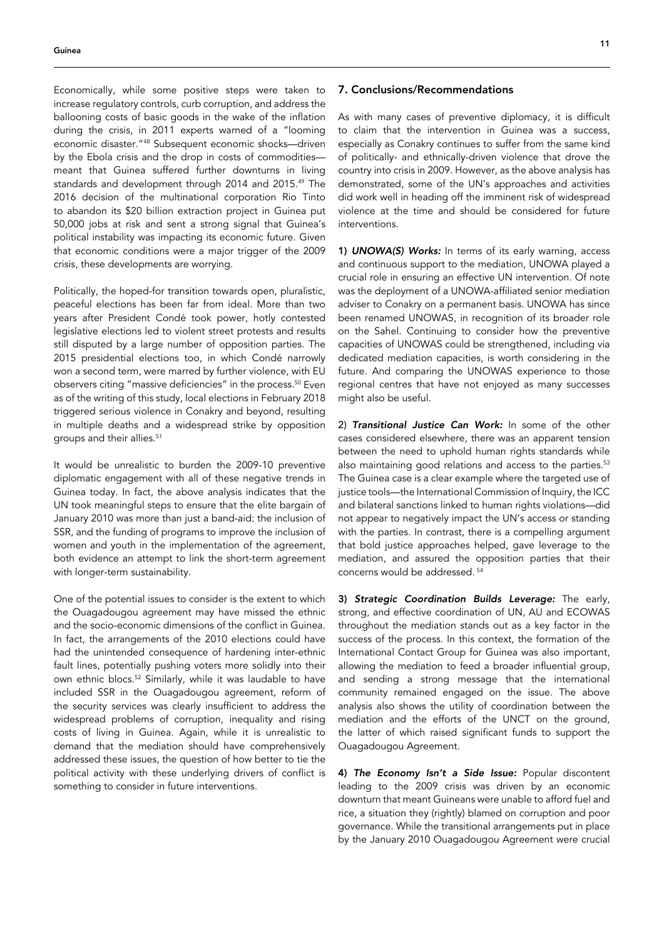Economically, while some positive steps were taken to increase regulatory controls, curb corruption, and address the ballooning costs of basic goods in the wake of the inflation during the crisis, in 2011 experts warned of a "looming economic disaster."48 Subsequent economic shocks—driven by the Ebola crisis and the drop in costs of commodities meant that Guinea suffered further downturns in living standards and development through 2014 and 2015.49 The 2016 decision of the multinational corporation Rio Tinto to abandon its \$20 billion extraction project in Guinea put 50,000 jobs at risk and sent a strong signal that Guinea's political instability was impacting its economic future. Given that economic conditions were a major trigger of the 2009 crisis, these developments are worrying.

Politically, the hoped-for transition towards open, pluralistic, peaceful elections has been far from ideal. More than two years after President Condé took power, hotly contested legislative elections led to violent street protests and results still disputed by a large number of opposition parties. The 2015 presidential elections too, in which Condé narrowly won a second term, were marred by further violence, with EU observers citing "massive deficiencies" in the process.50 Even as of the writing of this study, local elections in February 2018 triggered serious violence in Conakry and beyond, resulting in multiple deaths and a widespread strike by opposition groups and their allies.<sup>51</sup>

It would be unrealistic to burden the 2009-10 preventive diplomatic engagement with all of these negative trends in Guinea today. In fact, the above analysis indicates that the UN took meaningful steps to ensure that the elite bargain of January 2010 was more than just a band-aid: the inclusion of SSR, and the funding of programs to improve the inclusion of women and youth in the implementation of the agreement, both evidence an attempt to link the short-term agreement with longer-term sustainability.

One of the potential issues to consider is the extent to which the Ouagadougou agreement may have missed the ethnic and the socio-economic dimensions of the conflict in Guinea. In fact, the arrangements of the 2010 elections could have had the unintended consequence of hardening inter-ethnic fault lines, potentially pushing voters more solidly into their own ethnic blocs.52 Similarly, while it was laudable to have included SSR in the Ouagadougou agreement, reform of the security services was clearly insufficient to address the widespread problems of corruption, inequality and rising costs of living in Guinea. Again, while it is unrealistic to demand that the mediation should have comprehensively addressed these issues, the question of how better to tie the political activity with these underlying drivers of conflict is something to consider in future interventions.

## 7. Conclusions/Recommendations

As with many cases of preventive diplomacy, it is difficult to claim that the intervention in Guinea was a success, especially as Conakry continues to suffer from the same kind of politically- and ethnically-driven violence that drove the country into crisis in 2009. However, as the above analysis has demonstrated, some of the UN's approaches and activities did work well in heading off the imminent risk of widespread violence at the time and should be considered for future interventions.

1) UNOWA(S) Works: In terms of its early warning, access and continuous support to the mediation, UNOWA played a crucial role in ensuring an effective UN intervention. Of note was the deployment of a UNOWA-affiliated senior mediation adviser to Conakry on a permanent basis. UNOWA has since been renamed UNOWAS, in recognition of its broader role on the Sahel. Continuing to consider how the preventive capacities of UNOWAS could be strengthened, including via dedicated mediation capacities, is worth considering in the future. And comparing the UNOWAS experience to those regional centres that have not enjoyed as many successes might also be useful.

2) Transitional Justice Can Work: In some of the other cases considered elsewhere, there was an apparent tension between the need to uphold human rights standards while also maintaining good relations and access to the parties.<sup>53</sup> The Guinea case is a clear example where the targeted use of justice tools—the International Commission of Inquiry, the ICC and bilateral sanctions linked to human rights violations—did not appear to negatively impact the UN's access or standing with the parties. In contrast, there is a compelling argument that bold justice approaches helped, gave leverage to the mediation, and assured the opposition parties that their concerns would be addressed. 54

3) Strategic Coordination Builds Leverage: The early, strong, and effective coordination of UN, AU and ECOWAS throughout the mediation stands out as a key factor in the success of the process. In this context, the formation of the International Contact Group for Guinea was also important, allowing the mediation to feed a broader influential group, and sending a strong message that the international community remained engaged on the issue. The above analysis also shows the utility of coordination between the mediation and the efforts of the UNCT on the ground, the latter of which raised significant funds to support the Ouagadougou Agreement.

4) The Economy Isn't a Side Issue: Popular discontent leading to the 2009 crisis was driven by an economic downturn that meant Guineans were unable to afford fuel and rice, a situation they (rightly) blamed on corruption and poor governance. While the transitional arrangements put in place by the January 2010 Ouagadougou Agreement were crucial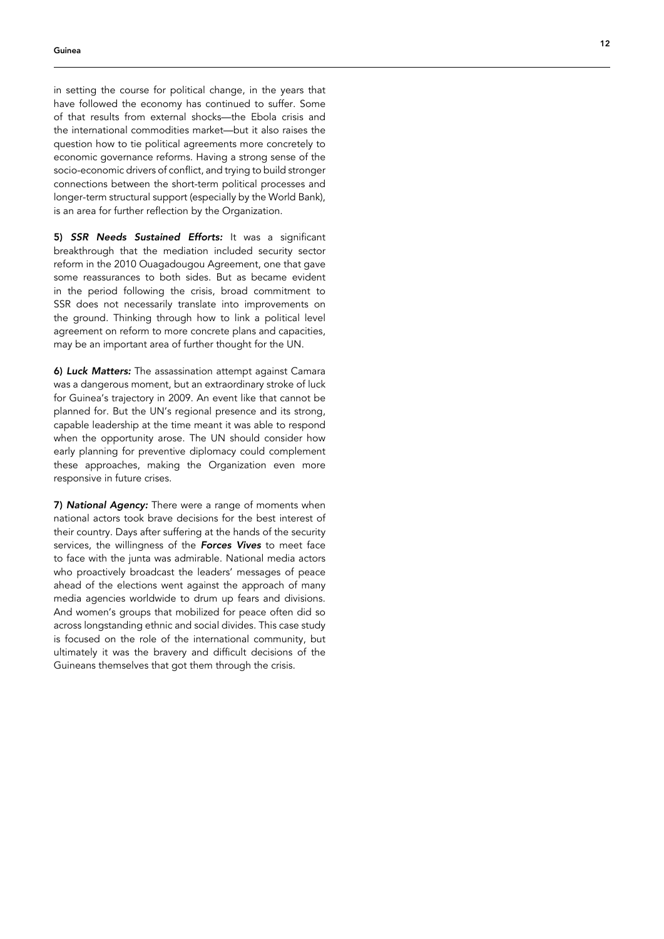in setting the course for political change, in the years that have followed the economy has continued to suffer. Some of that results from external shocks—the Ebola crisis and the international commodities market—but it also raises the question how to tie political agreements more concretely to economic governance reforms. Having a strong sense of the socio-economic drivers of conflict, and trying to build stronger connections between the short-term political processes and longer-term structural support (especially by the World Bank), is an area for further reflection by the Organization.

5) SSR Needs Sustained Efforts: It was a significant breakthrough that the mediation included security sector reform in the 2010 Ouagadougou Agreement, one that gave some reassurances to both sides. But as became evident in the period following the crisis, broad commitment to SSR does not necessarily translate into improvements on the ground. Thinking through how to link a political level agreement on reform to more concrete plans and capacities, may be an important area of further thought for the UN.

6) Luck Matters: The assassination attempt against Camara was a dangerous moment, but an extraordinary stroke of luck for Guinea's trajectory in 2009. An event like that cannot be planned for. But the UN's regional presence and its strong, capable leadership at the time meant it was able to respond when the opportunity arose. The UN should consider how early planning for preventive diplomacy could complement these approaches, making the Organization even more responsive in future crises.

7) National Agency: There were a range of moments when national actors took brave decisions for the best interest of their country. Days after suffering at the hands of the security services, the willingness of the *Forces Vives* to meet face to face with the junta was admirable. National media actors who proactively broadcast the leaders' messages of peace ahead of the elections went against the approach of many media agencies worldwide to drum up fears and divisions. And women's groups that mobilized for peace often did so across longstanding ethnic and social divides. This case study is focused on the role of the international community, but ultimately it was the bravery and difficult decisions of the Guineans themselves that got them through the crisis.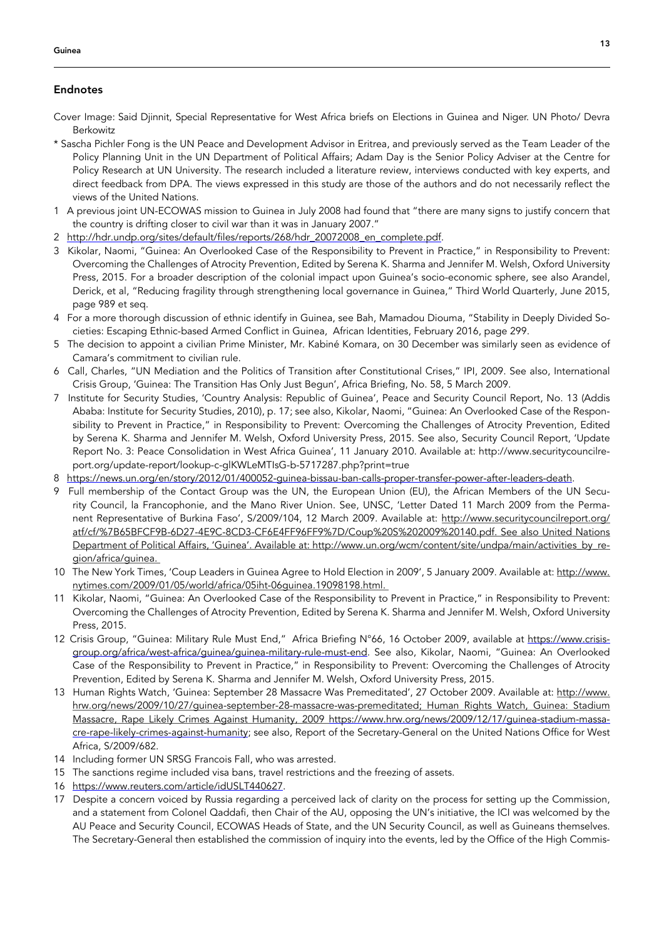# Endnotes

- Cover Image: Said Djinnit, Special Representative for West Africa briefs on Elections in Guinea and Niger. UN Photo/ Devra Berkowitz
- \* Sascha Pichler Fong is the UN Peace and Development Advisor in Eritrea, and previously served as the Team Leader of the Policy Planning Unit in the UN Department of Political Affairs; Adam Day is the Senior Policy Adviser at the Centre for Policy Research at UN University. The research included a literature review, interviews conducted with key experts, and direct feedback from DPA. The views expressed in this study are those of the authors and do not necessarily reflect the views of the United Nations.
- 1 A previous joint UN-ECOWAS mission to Guinea in July 2008 had found that "there are many signs to justify concern that the country is drifting closer to civil war than it was in January 2007."
- 2 [http://hdr.undp.org/sites/default/files/reports/268/hdr\\_20072008\\_en\\_complete.pdf](http://hdr.undp.org/sites/default/files/reports/268/hdr_20072008_en_complete.pdf).
- 3 Kikolar, Naomi, "Guinea: An Overlooked Case of the Responsibility to Prevent in Practice," in Responsibility to Prevent: Overcoming the Challenges of Atrocity Prevention, Edited by Serena K. Sharma and Jennifer M. Welsh, Oxford University Press, 2015. For a broader description of the colonial impact upon Guinea's socio-economic sphere, see also Arandel, Derick, et al, "Reducing fragility through strengthening local governance in Guinea," Third World Quarterly, June 2015, page 989 et seq.
- 4 For a more thorough discussion of ethnic identify in Guinea, see Bah, Mamadou Diouma, "Stability in Deeply Divided Societies: Escaping Ethnic-based Armed Conflict in Guinea, African Identities, February 2016, page 299.
- 5 The decision to appoint a civilian Prime Minister, Mr. Kabiné Komara, on 30 December was similarly seen as evidence of Camara's commitment to civilian rule.
- 6 Call, Charles, "UN Mediation and the Politics of Transition after Constitutional Crises," IPI, 2009. See also, International Crisis Group, 'Guinea: The Transition Has Only Just Begun', Africa Briefing, No. 58, 5 March 2009.
- 7 Institute for Security Studies, 'Country Analysis: Republic of Guinea', Peace and Security Council Report, No. 13 (Addis Ababa: Institute for Security Studies, 2010), p. 17; see also, Kikolar, Naomi, "Guinea: An Overlooked Case of the Responsibility to Prevent in Practice," in Responsibility to Prevent: Overcoming the Challenges of Atrocity Prevention, Edited by Serena K. Sharma and Jennifer M. Welsh, Oxford University Press, 2015. See also, Security Council Report, 'Update Report No. 3: Peace Consolidation in West Africa Guinea', 11 January 2010. Available at: [http://www.securitycouncilre](http://www.securitycouncilreport.org/update-report/lookup-c-glKWLeMTIsG-b-5717287.php?print=true)[port.org/update-report/lookup-c-glKWLeMTIsG-b-5717287.php?print=true](http://www.securitycouncilreport.org/update-report/lookup-c-glKWLeMTIsG-b-5717287.php?print=true)
- 8 <https://news.un.org/en/story/2012/01/400052-guinea-bissau-ban-calls-proper-transfer-power-after-leaders-death>.
- 9 Full membership of the Contact Group was the UN, the European Union (EU), the African Members of the UN Security Council, la Francophonie, and the Mano River Union. See, UNSC, 'Letter Dated 11 March 2009 from the Permanent Representative of Burkina Faso', S/2009/104, 12 March 2009. Available at: [http://www.securitycouncilreport.org/](http://www.securitycouncilreport.org/atf/cf/%7B65BFCF9B-6D27-4E9C-8CD3-CF6E4FF96FF9%7D/Coup%20S%202009%20140.pdf) [atf/cf/%7B65BFCF9B-6D27-4E9C-8CD3-CF6E4FF96FF9%7D/Coup%20S%202009%20140.pdf.](http://www.securitycouncilreport.org/atf/cf/%7B65BFCF9B-6D27-4E9C-8CD3-CF6E4FF96FF9%7D/Coup%20S%202009%20140.pdf) See also United Nations Department of Political Affairs, 'Guinea'. Available at: [http://www.un.org/wcm/content/site/undpa/main/activities\\_by\\_re](http://www.un.org/wcm/content/site/undpa/main/activities_by_region/africa/guinea)[gion/africa/guinea.](http://www.un.org/wcm/content/site/undpa/main/activities_by_region/africa/guinea)
- 10 The New York Times, 'Coup Leaders in Guinea Agree to Hold Election in 2009', 5 January 2009. Available at: [http://www.](http://www.nytimes.com/2009/01/05/world/africa/05iht-06guinea.19098198.html) [nytimes.com/2009/01/05/world/africa/05iht-06guinea.19098198.html](http://www.nytimes.com/2009/01/05/world/africa/05iht-06guinea.19098198.html).
- 11 Kikolar, Naomi, "Guinea: An Overlooked Case of the Responsibility to Prevent in Practice," in Responsibility to Prevent: Overcoming the Challenges of Atrocity Prevention, Edited by Serena K. Sharma and Jennifer M. Welsh, Oxford University Press, 2015.
- 12 Crisis Group, "Guinea: Military Rule Must End," Africa Briefing N°66, 16 October 2009, available at [https://www.crisis](https://www.crisisgroup.org/africa/west-africa/guinea/guinea-military-rule-must-end)[group.org/africa/west-africa/guinea/guinea-military-rule-must-end](https://www.crisisgroup.org/africa/west-africa/guinea/guinea-military-rule-must-end). See also, Kikolar, Naomi, "Guinea: An Overlooked Case of the Responsibility to Prevent in Practice," in Responsibility to Prevent: Overcoming the Challenges of Atrocity Prevention, Edited by Serena K. Sharma and Jennifer M. Welsh, Oxford University Press, 2015.
- 13 Human Rights Watch, 'Guinea: September 28 Massacre Was Premeditated', 27 October 2009. Available at: [http://www.](http://www.hrw.org/news/2009/10/27/guinea-september-28-massacre-was-premeditated) [hrw.org/news/2009/10/27/guinea-september-28-massacre-was-premeditated;](http://www.hrw.org/news/2009/10/27/guinea-september-28-massacre-was-premeditated) Human Rights Watch, Guinea: Stadium Massacre, Rape Likely Crimes Against Humanity, 2009 [https://www.hrw.org/news/2009/12/17/guinea-stadium-massa](https://www.hrw.org/news/2009/12/17/guinea-stadium-massacre-rape-likely-crimes-against-humanity)[cre-rape-likely-crimes-against-humanity](https://www.hrw.org/news/2009/12/17/guinea-stadium-massacre-rape-likely-crimes-against-humanity); see also, Report of the Secretary-General on the United Nations Office for West Africa, S/2009/682.
- 14 Including former UN SRSG Francois Fall, who was arrested.
- 15 The sanctions regime included visa bans, travel restrictions and the freezing of assets.
- 16 <https://www.reuters.com/article/idUSLT440627>.
- 17 Despite a concern voiced by Russia regarding a perceived lack of clarity on the process for setting up the Commission, and a statement from Colonel Qaddafi, then Chair of the AU, opposing the UN's initiative, the ICI was welcomed by the AU Peace and Security Council, ECOWAS Heads of State, and the UN Security Council, as well as Guineans themselves. The Secretary-General then established the commission of inquiry into the events, led by the Office of the High Commis-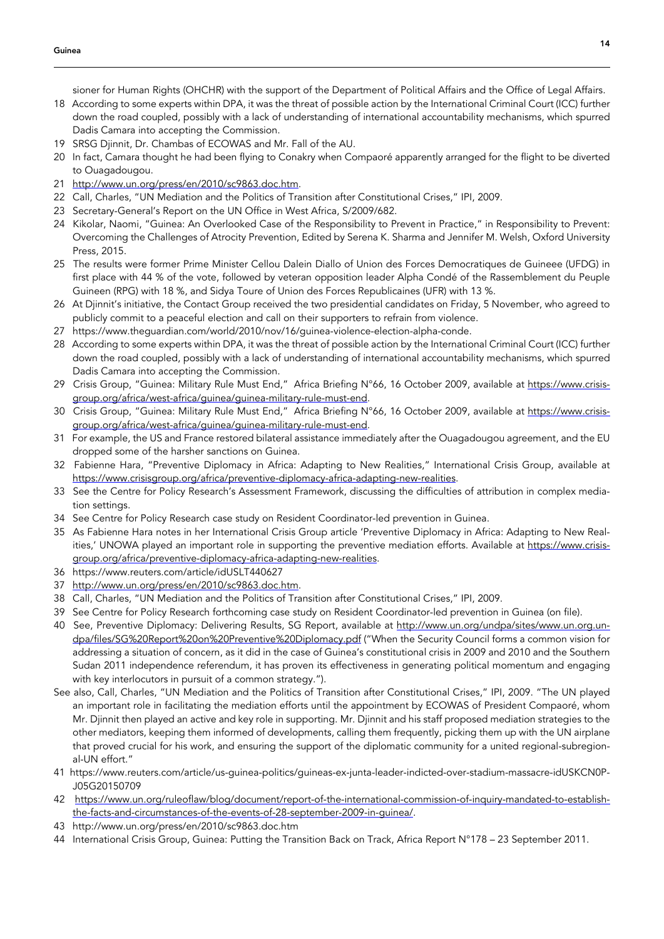sioner for Human Rights (OHCHR) with the support of the Department of Political Affairs and the Office of Legal Affairs.

- 18 According to some experts within DPA, it was the threat of possible action by the International Criminal Court (ICC) further down the road coupled, possibly with a lack of understanding of international accountability mechanisms, which spurred Dadis Camara into accepting the Commission.
- 19 SRSG Djinnit, Dr. Chambas of ECOWAS and Mr. Fall of the AU.
- 20 In fact, Camara thought he had been flying to Conakry when Compaoré apparently arranged for the flight to be diverted to Ouagadougou.
- 21 <http://www.un.org/press/en/2010/sc9863.doc.htm>.
- 22 Call, Charles, "UN Mediation and the Politics of Transition after Constitutional Crises," IPI, 2009.
- 23 Secretary-General's Report on the UN Office in West Africa, S/2009/682.
- 24 Kikolar, Naomi, "Guinea: An Overlooked Case of the Responsibility to Prevent in Practice," in Responsibility to Prevent: Overcoming the Challenges of Atrocity Prevention, Edited by Serena K. Sharma and Jennifer M. Welsh, Oxford University Press, 2015.
- 25 The results were former Prime Minister Cellou Dalein Diallo of Union des Forces Democratiques de Guineee (UFDG) in first place with 44 % of the vote, followed by veteran opposition leader Alpha Condé of the Rassemblement du Peuple Guineen (RPG) with 18 %, and Sidya Toure of Union des Forces Republicaines (UFR) with 13 %.
- 26 At Djinnit's initiative, the Contact Group received the two presidential candidates on Friday, 5 November, who agreed to publicly commit to a peaceful election and call on their supporters to refrain from violence.
- 27 https://www.theguardian.com/world/2010/nov/16/guinea-violence-election-alpha-conde.
- 28 According to some experts within DPA, it was the threat of possible action by the International Criminal Court (ICC) further down the road coupled, possibly with a lack of understanding of international accountability mechanisms, which spurred Dadis Camara into accepting the Commission.
- 29 Crisis Group, "Guinea: Military Rule Must End," Africa Briefing N°66, 16 October 2009, available at [https://www.crisis](https://www.crisisgroup.org/africa/west-africa/guinea/guinea-military-rule-must-end)[group.org/africa/west-africa/guinea/guinea-military-rule-must-end](https://www.crisisgroup.org/africa/west-africa/guinea/guinea-military-rule-must-end).
- 30 Crisis Group, "Guinea: Military Rule Must End," Africa Briefing N°66, 16 October 2009, available at [https://www.crisis](https://www.crisisgroup.org/africa/west-africa/guinea/guinea-military-rule-must-end)[group.org/africa/west-africa/guinea/guinea-military-rule-must-end](https://www.crisisgroup.org/africa/west-africa/guinea/guinea-military-rule-must-end).
- 31 For example, the US and France restored bilateral assistance immediately after the Ouagadougou agreement, and the EU dropped some of the harsher sanctions on Guinea.
- 32 Fabienne Hara, "Preventive Diplomacy in Africa: Adapting to New Realities," International Crisis Group, available at <https://www.crisisgroup.org/africa/preventive-diplomacy-africa-adapting-new-realities>.
- 33 See the Centre for Policy Research's Assessment Framework, discussing the difficulties of attribution in complex mediation settings.
- 34 See Centre for Policy Research case study on Resident Coordinator-led prevention in Guinea.
- 35 As Fabienne Hara notes in her International Crisis Group article 'Preventive Diplomacy in Africa: Adapting to New Realities,' UNOWA played an important role in supporting the preventive mediation efforts. Available at [https://www.crisis](https://www.crisisgroup.org/africa/preventive-diplomacy-africa-adapting-new-realities)[group.org/africa/preventive-diplomacy-africa-adapting-new-realities](https://www.crisisgroup.org/africa/preventive-diplomacy-africa-adapting-new-realities).
- 36 https://www.reuters.com/article/idUSLT440627
- 37 <http://www.un.org/press/en/2010/sc9863.doc.htm>.
- 38 Call, Charles, "UN Mediation and the Politics of Transition after Constitutional Crises," IPI, 2009.
- 39 See Centre for Policy Research forthcoming case study on Resident Coordinator-led prevention in Guinea (on file).
- 40 See, Preventive Diplomacy: Delivering Results, SG Report, available at [http://www.un.org/undpa/sites/www.un.org.un](http://www.un.org/undpa/sites/www.un.org.undpa/files/SG%20Report%20on%20Preventive%20Diplomacy.pdf)[dpa/files/SG%20Report%20on%20Preventive%20Diplomacy.pdf](http://www.un.org/undpa/sites/www.un.org.undpa/files/SG%20Report%20on%20Preventive%20Diplomacy.pdf) ("When the Security Council forms a common vision for addressing a situation of concern, as it did in the case of Guinea's constitutional crisis in 2009 and 2010 and the Southern Sudan 2011 independence referendum, it has proven its effectiveness in generating political momentum and engaging with key interlocutors in pursuit of a common strategy.").
- See also, Call, Charles, "UN Mediation and the Politics of Transition after Constitutional Crises," IPI, 2009. "The UN played an important role in facilitating the mediation efforts until the appointment by ECOWAS of President Compaoré, whom Mr. Djinnit then played an active and key role in supporting. Mr. Djinnit and his staff proposed mediation strategies to the other mediators, keeping them informed of developments, calling them frequently, picking them up with the UN airplane that proved crucial for his work, and ensuring the support of the diplomatic community for a united regional-subregional-UN effort."
- 41 https://www.reuters.com/article/us-guinea-politics/guineas-ex-junta-leader-indicted-over-stadium-massacre-idUSKCN0P-J05G20150709
- 42 [https://www.un.org/ruleoflaw/blog/document/report-of-the-international-commission-of-inquiry-mandated-to-establish](https://www.un.org/ruleoflaw/blog/document/report-of-the-international-commission-of-inquiry-mandated-to-establish-the-facts-and-circumstances-of-the-events-of-28-september-2009-in-guinea/)[the-facts-and-circumstances-of-the-events-of-28-september-2009-in-guinea/](https://www.un.org/ruleoflaw/blog/document/report-of-the-international-commission-of-inquiry-mandated-to-establish-the-facts-and-circumstances-of-the-events-of-28-september-2009-in-guinea/).
- 43 http://www.un.org/press/en/2010/sc9863.doc.htm
- 44 International Crisis Group, Guinea: Putting the Transition Back on Track, Africa Report N°178 23 September 2011.